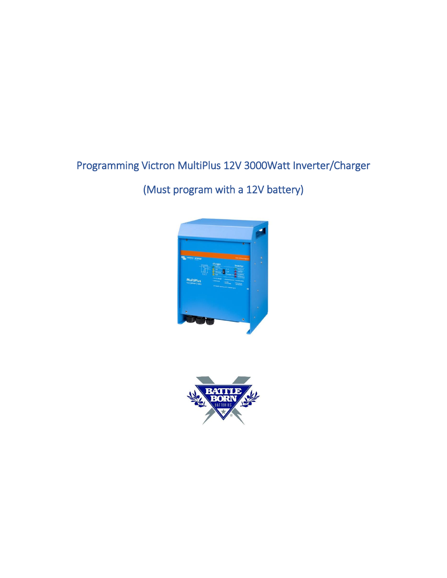# Programming Victron MultiPlus 12V 3000Watt Inverter/Charger

# (Must program with a 12V battery)



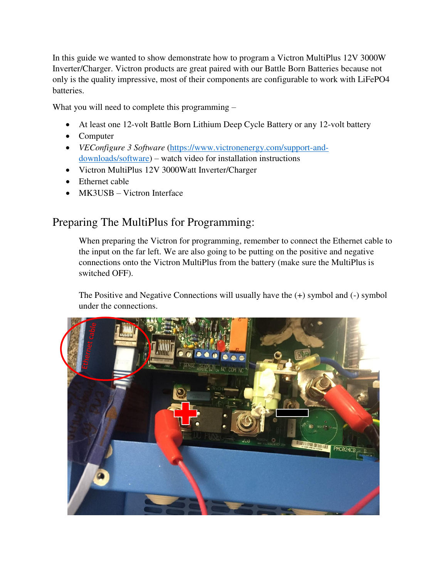In this guide we wanted to show demonstrate how to program a Victron MultiPlus 12V 3000W Inverter/Charger. Victron products are great paired with our Battle Born Batteries because not only is the quality impressive, most of their components are configurable to work with LiFePO4 batteries.

What you will need to complete this programming –

- At least one 12-volt Battle Born Lithium Deep Cycle Battery or any 12-volt battery
- Computer
- *VEConfigure 3 Software* [\(https://www.victronenergy.com/support-and](https://www.victronenergy.com/support-and-downloads/software)[downloads/software\)](https://www.victronenergy.com/support-and-downloads/software) – watch video for installation instructions
- Victron MultiPlus 12V 3000Watt Inverter/Charger
- Ethernet cable
- MK3USB Victron Interface

### Preparing The MultiPlus for Programming:

When preparing the Victron for programming, remember to connect the Ethernet cable to the input on the far left. We are also going to be putting on the positive and negative connections onto the Victron MultiPlus from the battery (make sure the MultiPlus is switched OFF).

The Positive and Negative Connections will usually have the (+) symbol and (-) symbol under the connections.

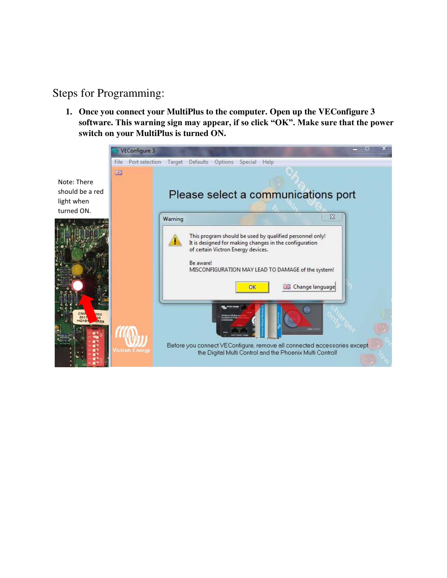### Steps for Programming:

**1. Once you connect your MultiPlus to the computer. Open up the VEConfigure 3 software. This warning sign may appear, if so click "OK". Make sure that the power switch on your MultiPlus is turned ON.**

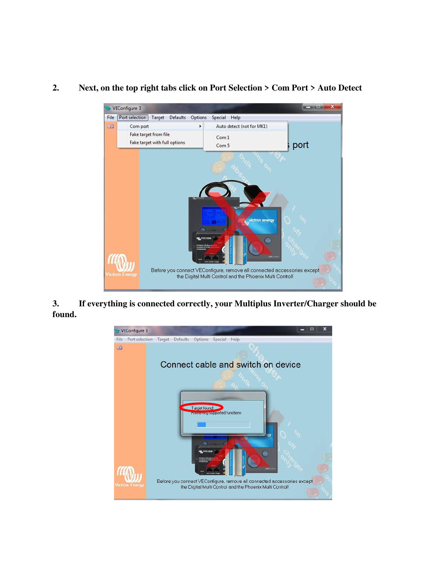

#### **2. Next, on the top right tabs click on Port Selection > Com Port > Auto Detect**

**3. If everything is connected correctly, your Multiplus Inverter/Charger should be found.** 

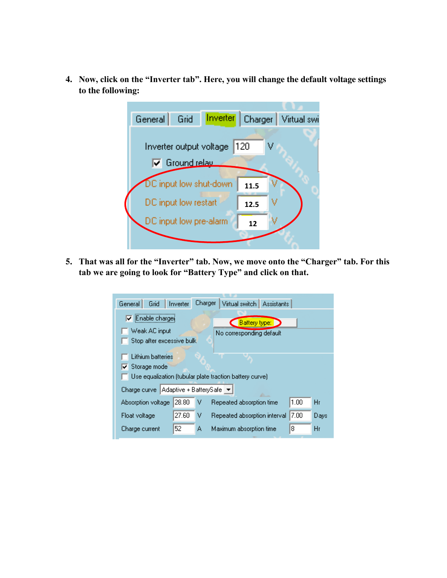**4. Now, click on the "Inverter tab". Here, you will change the default voltage settings to the following:** 



**5. That was all for the "Inverter" tab. Now, we move onto the "Charger" tab. For this tab we are going to look for "Battery Type" and click on that.** 

| Grid<br>General                                                                                       | Inverter | Charger | Virtual switch   Assistants  |      |      |  |  |
|-------------------------------------------------------------------------------------------------------|----------|---------|------------------------------|------|------|--|--|
| $\triangledown$ Enable charget                                                                        |          |         | Battery type:                |      |      |  |  |
| Weak AC input<br>No corresponding default<br>Stop after excessive bulk                                |          |         |                              |      |      |  |  |
| Lithium batteries<br>$\nabla$ Storage mode<br>Use equalization (tubular plate traction battery curve) |          |         |                              |      |      |  |  |
| Adaptive + BatterySafe<br>Charge curve                                                                |          |         |                              |      |      |  |  |
| Absorption voltage                                                                                    | 28.80    | v       | Repeated absorption time     | 1.00 | Hr   |  |  |
| Float voltage                                                                                         | 27.60    | v       | Repeated absorption interval | 7.00 | Days |  |  |
| Charge current                                                                                        | 52       | А       | Maximum absorption time      | 8    | Hr   |  |  |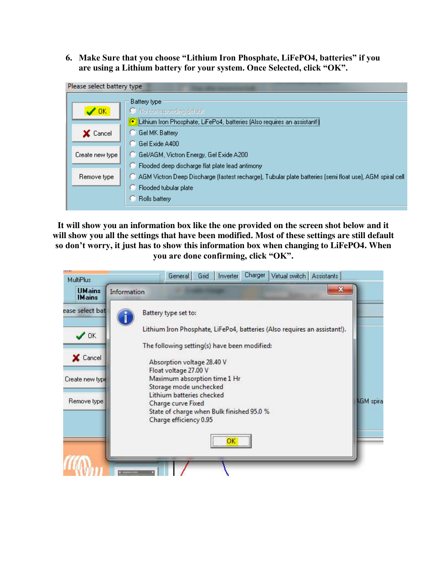**6. Make Sure that you choose "Lithium Iron Phosphate, LiFePO4, batteries" if you are using a Lithium battery for your system. Once Selected, click "OK".**

| Please select battery type |                                                                                                           |  |  |  |  |
|----------------------------|-----------------------------------------------------------------------------------------------------------|--|--|--|--|
|                            | Battery type                                                                                              |  |  |  |  |
| ✔ OK                       | <sup>O</sup> No corresponding default                                                                     |  |  |  |  |
|                            | Lithium Iron Phosphate, LiFePo4, batteries (Also requires an assistant!)<br>œ                             |  |  |  |  |
| X Cancel                   | <b>Gel MK Battery</b>                                                                                     |  |  |  |  |
|                            | Gel Exide A400                                                                                            |  |  |  |  |
| Create new type            | Gel/AGM, Victron Energy, Gel Exide A200                                                                   |  |  |  |  |
|                            | Flooded deep discharge flat plate lead antimony                                                           |  |  |  |  |
| Remove type                | -AGM Victron Deep Discharge (fastest recharge), Tubular plate batteries (semi float use), AGM spiral cell |  |  |  |  |
|                            | Flooded tubular plate                                                                                     |  |  |  |  |
|                            | Rolls battery                                                                                             |  |  |  |  |
|                            |                                                                                                           |  |  |  |  |

**It will show you an information box like the one provided on the screen shot below and it will show you all the settings that have been modified. Most of these settings are still default so don't worry, it just has to show this information box when changing to LiFePO4. When you are done confirming, click "OK".** 

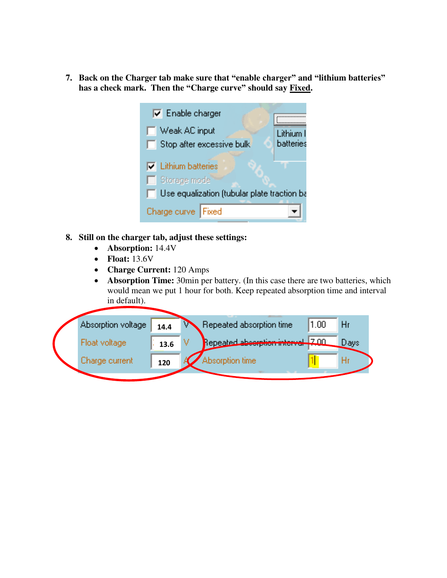**7. Back on the Charger tab make sure that "enable charger" and "lithium batteries" has a check mark. Then the "Charge curve" should say Fixed.** 



- **8. Still on the charger tab, adjust these settings:** 
	- **Absorption:** 14.4V
	- **Float:** 13.6V
	- **Charge Current:** 120 Amps
	- **Absorption Time:** 30min per battery. (In this case there are two batteries, which would mean we put 1 hour for both. Keep repeated absorption time and interval in default).

| Absorption voltage | 14.4 | Repeated absorption time          | 1.00 | Hr   |
|--------------------|------|-----------------------------------|------|------|
| Float voltage      | 13.6 | Repeated absorption interval 7,00 |      | Days |
| Charge current     | 120  | Absorption time                   |      |      |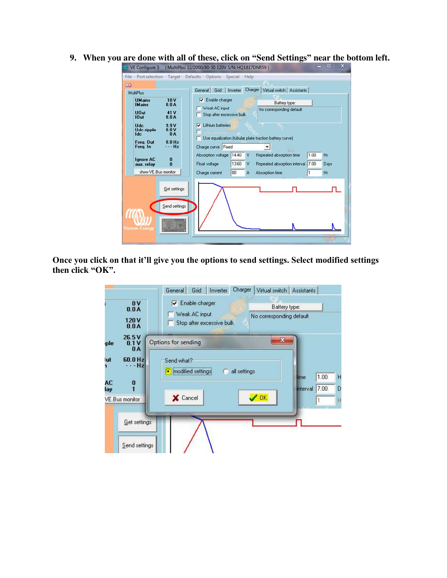**9. When you are done with all of these, click on "Send Settings" near the bottom left.** 

| 器<br><b>MultiPlus</b><br><b>UMains</b><br><b>IMains</b>                            | 10V<br>0.0A                                           | Grid<br>Inverter<br>General<br>Enable charger<br>⊽<br>Weak AC input                                                       | Charger  <br>Virtual switch   Assistants<br>Battery type:<br>No corresponding default                                            |
|------------------------------------------------------------------------------------|-------------------------------------------------------|---------------------------------------------------------------------------------------------------------------------------|----------------------------------------------------------------------------------------------------------------------------------|
| <b>UDut</b><br>10ut<br><b>Udc.</b><br><b>Udc</b> ripple<br><b>Idc</b><br>Frea, Out | 41 V<br>0.0A<br>9.9V<br>0.0V<br><b>0A</b><br>$0.0$ Hz | Stop after excessive bulk<br>Lithium batteries<br>Storage made<br>Use equalization (tubular plate traction battery curve) |                                                                                                                                  |
| Freq. In<br><b>Ignore AC</b><br>aux. relay<br>show VE.Bus monitor                  | - Hz<br>0<br>$\mathbf{n}$                             | Charge curve Fixed<br>Absorption voltage<br>14.40<br><b>V</b><br>13.60<br>Float voltage<br>V<br>80<br>Charge current<br>А | Repeated absorption time<br>1.00<br>Hr<br>7.00<br>Repeated absorption interval<br>Days<br>1<br>H <sub>I</sub><br>Absorption time |
| <b>Victron Energy</b>                                                              | Get settings<br>Send settings                         |                                                                                                                           |                                                                                                                                  |

**Once you click on that it'll give you the options to send settings. Select modified settings then click "OK".**

|                                                                               | Charger<br>Virtual switch   Assistants<br>Grid<br>Inverter<br>General |                                                     |  |  |
|-------------------------------------------------------------------------------|-----------------------------------------------------------------------|-----------------------------------------------------|--|--|
| 0 <b>V</b><br>0.0A                                                            | Enable charger<br>M.                                                  | Battery type:<br>No corresponding default           |  |  |
| 120 <sub>V</sub><br>0.0A                                                      | Weak AC input<br>Stop after excessive bulk                            |                                                     |  |  |
| 26.5V<br>0.1V<br>ple<br>0A                                                    | X<br>Options for sending                                              |                                                     |  |  |
| 60.0 Hz<br>lut<br>- Hz                                                        | Send what?<br>all settings<br>modified settings<br>o<br>G             |                                                     |  |  |
| $\begin{smallmatrix} 0 \\ 1 \end{smallmatrix}$<br>AC<br>lay<br>VE.Bus monitor | <b>OK</b><br><b>X</b> Cancel                                          | 1.00<br>lime<br>H<br>7.00<br>D<br>nterval<br>1<br>Η |  |  |
| Get settings                                                                  |                                                                       |                                                     |  |  |
| Send settings                                                                 |                                                                       |                                                     |  |  |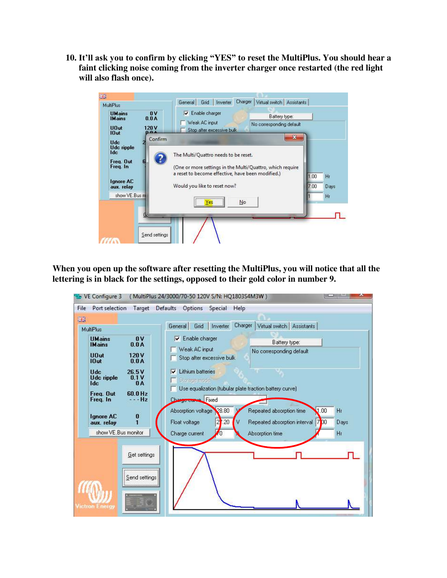**10. It'll ask you to confirm by clicking "YES" to reset the MultiPlus. You should hear a faint clicking noise coming from the inverter charger once restarted (the red light will also flash once).** 



**When you open up the software after resetting the MultiPlus, you will notice that all the lettering is in black for the settings, opposed to their gold color in number 9.**